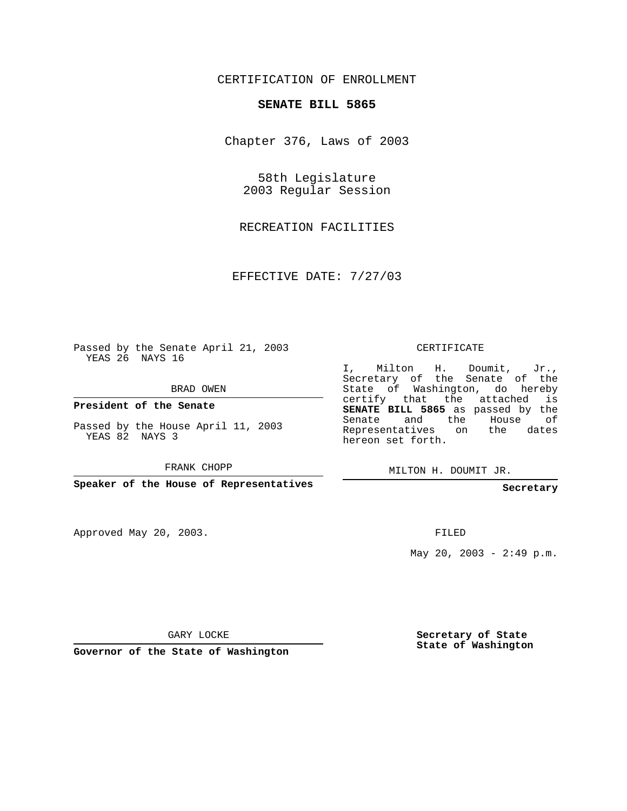## CERTIFICATION OF ENROLLMENT

## **SENATE BILL 5865**

Chapter 376, Laws of 2003

58th Legislature 2003 Regular Session

RECREATION FACILITIES

EFFECTIVE DATE: 7/27/03

Passed by the Senate April 21, 2003 YEAS 26 NAYS 16

BRAD OWEN

**President of the Senate**

Passed by the House April 11, 2003 YEAS 82 NAYS 3

FRANK CHOPP

**Speaker of the House of Representatives**

Approved May 20, 2003.

CERTIFICATE

I, Milton H. Doumit, Jr., Secretary of the Senate of the State of Washington, do hereby certify that the attached is **SENATE BILL 5865** as passed by the Senate and the House of Representatives on the dates hereon set forth.

MILTON H. DOUMIT JR.

**Secretary**

FILED

May 20, 2003 - 2:49 p.m.

GARY LOCKE

**Governor of the State of Washington**

**Secretary of State State of Washington**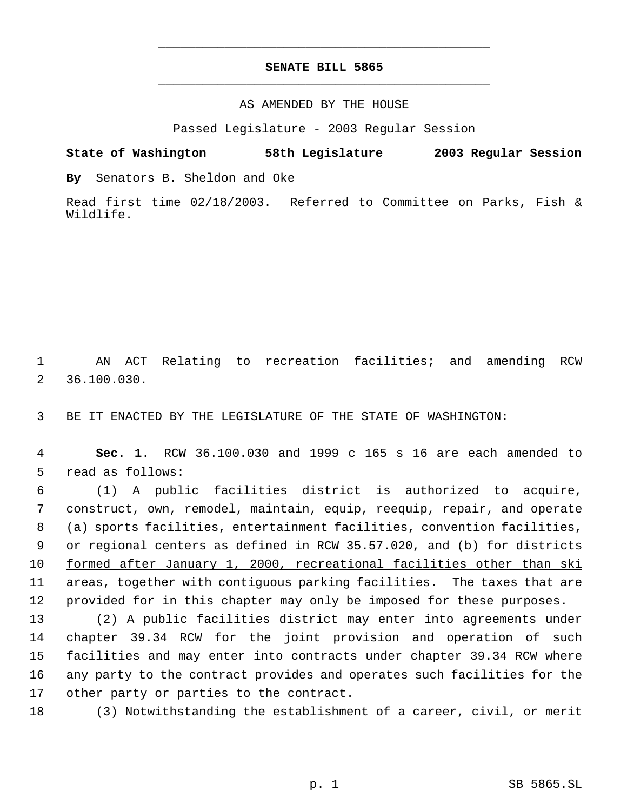## **SENATE BILL 5865** \_\_\_\_\_\_\_\_\_\_\_\_\_\_\_\_\_\_\_\_\_\_\_\_\_\_\_\_\_\_\_\_\_\_\_\_\_\_\_\_\_\_\_\_\_

\_\_\_\_\_\_\_\_\_\_\_\_\_\_\_\_\_\_\_\_\_\_\_\_\_\_\_\_\_\_\_\_\_\_\_\_\_\_\_\_\_\_\_\_\_

## AS AMENDED BY THE HOUSE

Passed Legislature - 2003 Regular Session

**State of Washington 58th Legislature 2003 Regular Session**

**By** Senators B. Sheldon and Oke

Read first time 02/18/2003. Referred to Committee on Parks, Fish & Wildlife.

 1 AN ACT Relating to recreation facilities; and amending RCW 2 36.100.030.

3 BE IT ENACTED BY THE LEGISLATURE OF THE STATE OF WASHINGTON:

 4 **Sec. 1.** RCW 36.100.030 and 1999 c 165 s 16 are each amended to 5 read as follows:

 6 (1) A public facilities district is authorized to acquire, 7 construct, own, remodel, maintain, equip, reequip, repair, and operate 8 (a) sports facilities, entertainment facilities, convention facilities, 9 or regional centers as defined in RCW 35.57.020, and (b) for districts 10 formed after January 1, 2000, recreational facilities other than ski 11 areas, together with contiguous parking facilities. The taxes that are 12 provided for in this chapter may only be imposed for these purposes.

 (2) A public facilities district may enter into agreements under chapter 39.34 RCW for the joint provision and operation of such facilities and may enter into contracts under chapter 39.34 RCW where any party to the contract provides and operates such facilities for the other party or parties to the contract.

18 (3) Notwithstanding the establishment of a career, civil, or merit